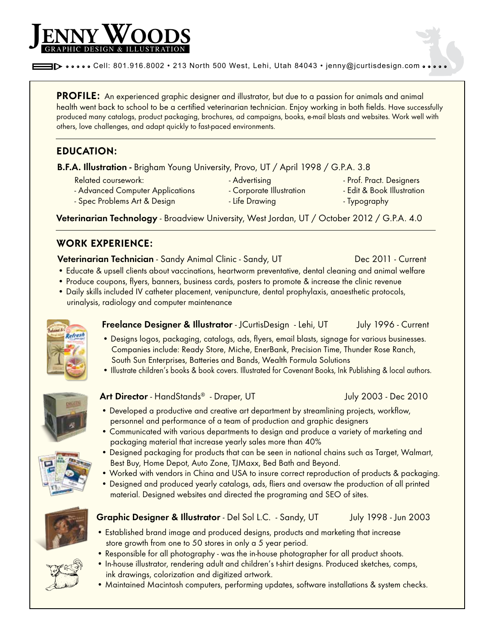# **JENNY WOODS** GRAPHIC DESIGN & ILLUSTRATION

Cell: 801.916.8002 • 213 North 500 West, Lehi, Utah 84043 • jenny@jcurtisdesign.com

PROFILE: An experienced graphic designer and illustrator, but due to a passion for animals and animal health went back to school to be a certified veterinarian technician. Enjoy working in both fields. Have successfully produced many catalogs, product packaging, brochures, ad campaigns, books, e-mail blasts and websites. Work well with others, love challenges, and adapt quickly to fast-paced environments.

### **EDUCATION:**

**B.F.A. Illustration -** Brigham Young University, Provo, UT / April 1998 / G.P.A. 3.8

- Related coursework:
- Advanced Computer Applications
- Advertising
- Corporate Illustration
- Spec Problems Art & Design
- Life Drawing
- Prof. Pract. Designers
- Edit & Book Illustration
- Typography

**Veterinarian Technology** - Broadview University, West Jordan, UT / October 2012 / G.P.A. 4.0

### **WORK EXPERIENCE:**

**Veterinarian Technician** - Sandy Animal Clinic - Sandy, UT Dec 2011 - Current

- Educate & upsell clients about vaccinations, heartworm preventative, dental cleaning and animal welfare
- Produce coupons, flyers, banners, business cards, posters to promote & increase the clinic revenue
- Daily skills included IV catheter placement, venipuncture, dental prophylaxis, anaesthetic protocols, urinalysis, radiology and computer maintenance



- **Freelance Designer & Illustrator**  JCurtisDesign Lehi, UT July 1996 Current
- Designs logos, packaging, catalogs, ads, flyers, email blasts, signage for various businesses. Companies include: Ready Store, Miche, EnerBank, Precision Time, Thunder Rose Ranch, South Sun Enterprises, Batteries and Bands, Wealth Formula Solutions
- Illustrate children's books & book covers. Illustrated for Covenant Books, Ink Publishing & local authors.

## Art Director - HandStands<sup>®</sup> - Draper, UT July 2003 - Dec 2010

- Developed a productive and creative art department by streamlining projects, workflow, personnel and performance of a team of production and graphic designers
- Communicated with various departments to design and produce a variety of marketing and packaging material that increase yearly sales more than 40%



- Designed packaging for products that can be seen in national chains such as Target, Walmart, Best Buy, Home Depot, Auto Zone, TJMaxx, Bed Bath and Beyond.
- Worked with vendors in China and USA to insure correct reproduction of products & packaging.
	- Designed and produced yearly catalogs, ads, fliers and oversaw the production of all printed material. Designed websites and directed the programing and SEO of sites.



- **Graphic Designer & Illustrator**  Del Sol L.C. Sandy, UT July 1998 Jun 2003
- Established brand image and produced designs, products and marketing that increase store growth from one to 50 stores in only a 5 year period.
- Responsible for all photography was the in-house photographer for all product shoots.
- In-house illustrator, rendering adult and children's t-shirt designs. Produced sketches, comps, ink drawings, colorization and digitized artwork.
- Maintained Macintosh computers, performing updates, software installations & system checks.